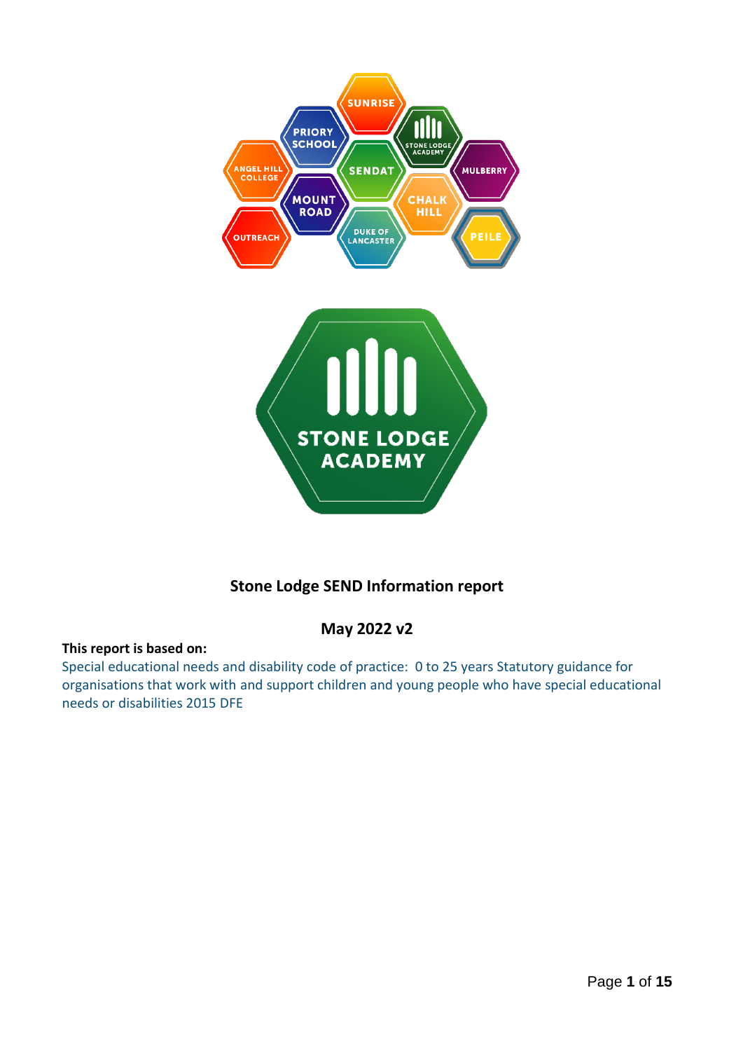

# **Stone Lodge SEND Information report**

## **May 2022 v2**

#### **This report is based on:**

Special educational needs and disability code of practice: 0 to 25 years Statutory guidance for organisations that work with and support children and young people who have special educational needs or disabilities 2015 DFE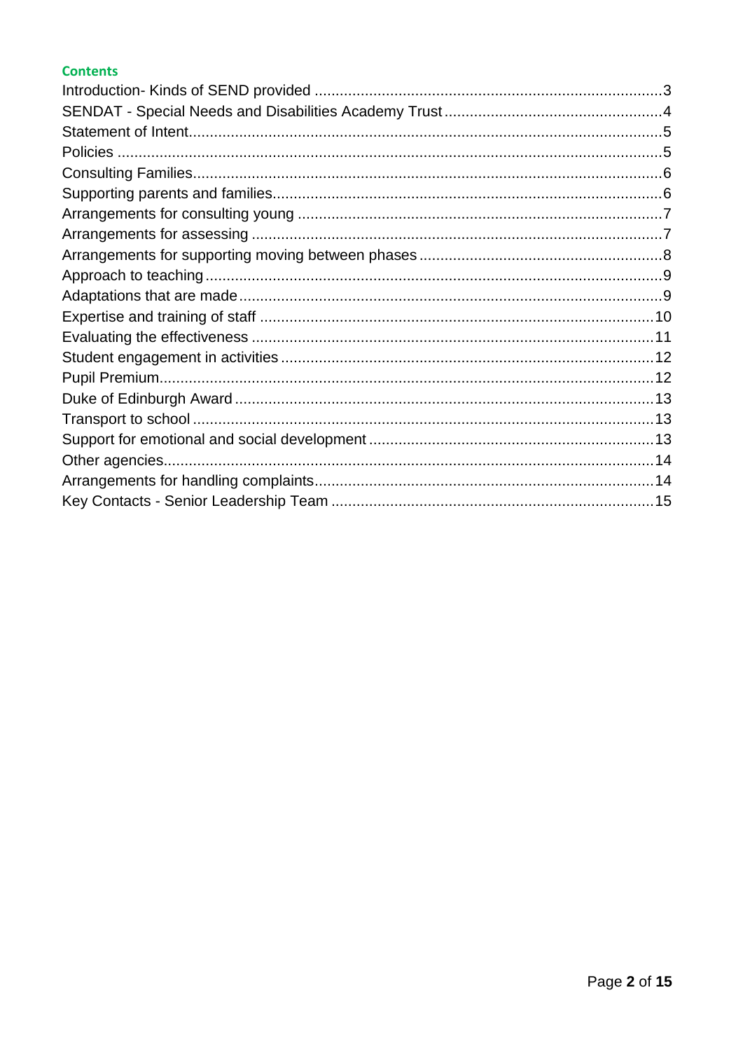#### **Contents**

<span id="page-1-0"></span>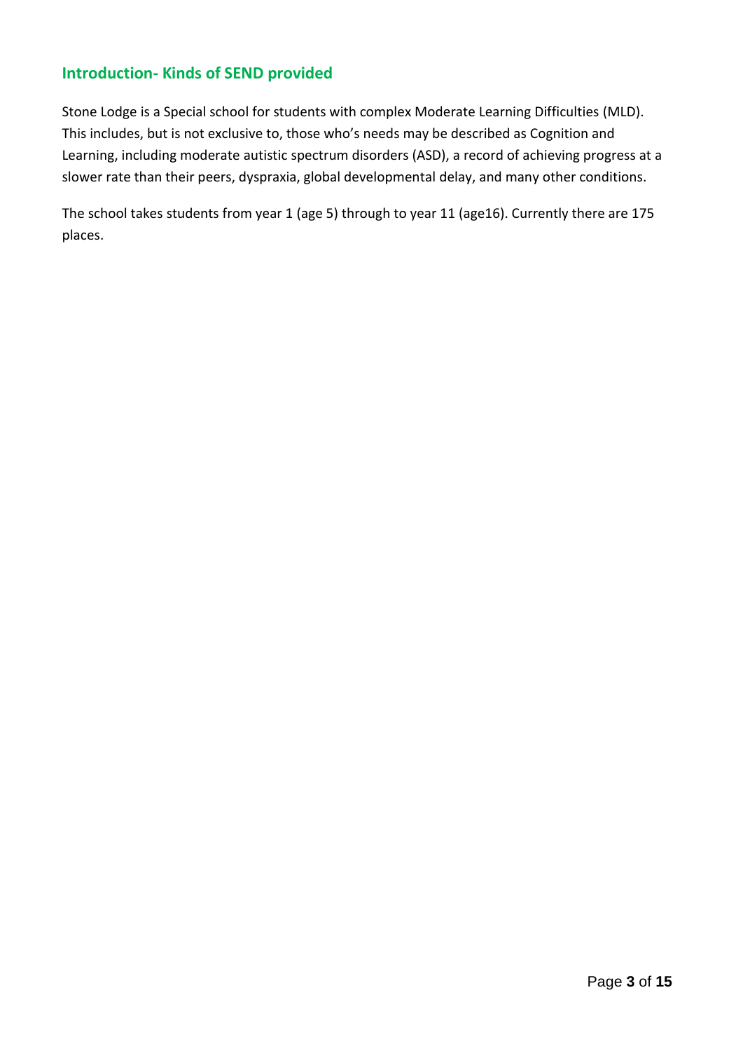### **Introduction- Kinds of SEND provided**

Stone Lodge is a Special school for students with complex Moderate Learning Difficulties (MLD). This includes, but is not exclusive to, those who's needs may be described as Cognition and Learning, including moderate autistic spectrum disorders (ASD), a record of achieving progress at a slower rate than their peers, dyspraxia, global developmental delay, and many other conditions.

The school takes students from year 1 (age 5) through to year 11 (age16). Currently there are 175 places.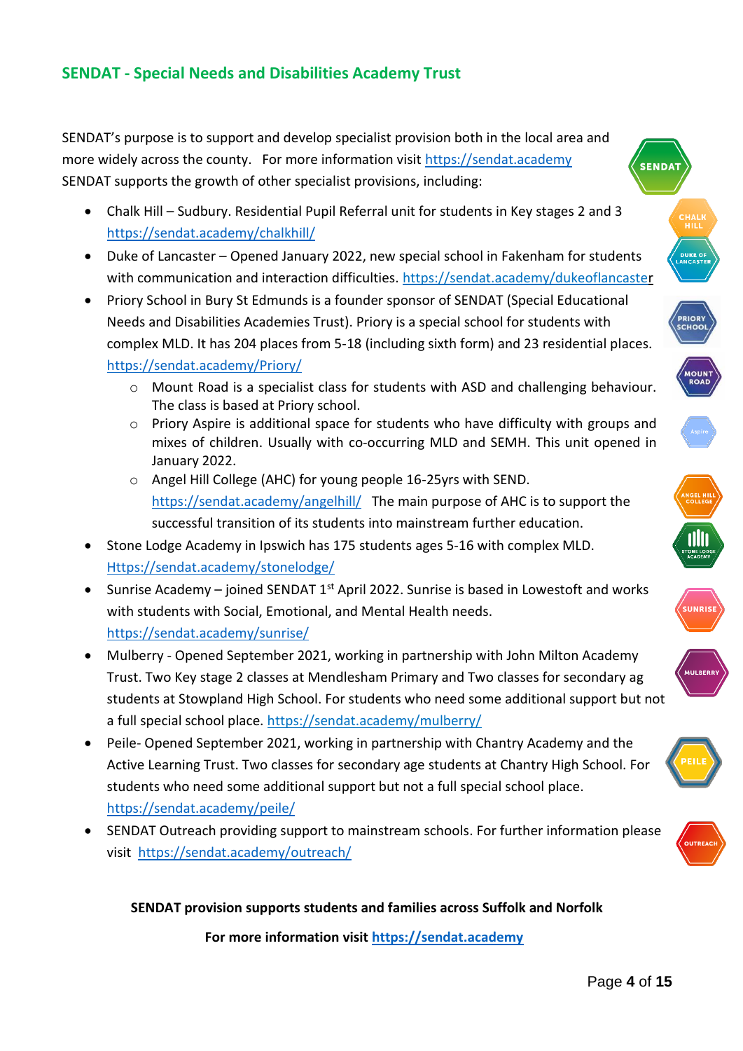### <span id="page-3-0"></span>**SENDAT - Special Needs and Disabilities Academy Trust**

SENDAT's purpose is to support and develop specialist provision both in the local area and more widely across the county. For more information visit [https://sendat.academy](https://sendat.academy/) SENDAT supports the growth of other specialist provisions, including:

- Chalk Hill Sudbury. Residential Pupil Referral unit for students in Key stages 2 and 3 <https://sendat.academy/chalkhill/>
- Duke of Lancaster Opened January 2022, new special school in Fakenham for students with communication and interaction difficulties.<https://sendat.academy/dukeoflancaster>
- Priory School in Bury St Edmunds is a founder sponsor of SENDAT (Special Educational Needs and Disabilities Academies Trust). Priory is a special school for students with complex MLD. It has 204 places from 5-18 (including sixth form) and 23 residential places. <https://sendat.academy/Priory/>
	- o Mount Road is a specialist class for students with ASD and challenging behaviour. The class is based at Priory school.
	- o Priory Aspire is additional space for students who have difficulty with groups and mixes of children. Usually with co-occurring MLD and SEMH. This unit opened in January 2022.
	- o Angel Hill College (AHC) for young people 16-25yrs with SEND. <https://sendat.academy/angelhill/>The main purpose of AHC is to support the successful transition of its students into mainstream further education.
- Stone Lodge Academy in Ipswich has 175 students ages 5-16 with complex MLD. [Https://sendat.academy/stonelodge/](https://sendat.academy/stonelodge/)
- Sunrise Academy joined SENDAT  $1^{st}$  April 2022. Sunrise is based in Lowestoft and works with students with Social, Emotional, and Mental Health needs. <https://sendat.academy/sunrise/>
- Mulberry Opened September 2021, working in partnership with John Milton Academy Trust. Two Key stage 2 classes at Mendlesham Primary and Two classes for secondary ag students at Stowpland High School. For students who need some additional support but not a full special school place.<https://sendat.academy/mulberry/>
- Peile- Opened September 2021, working in partnership with Chantry Academy and the Active Learning Trust. Two classes for secondary age students at Chantry High School. For students who need some additional support but not a full special school place. <https://sendat.academy/peile/>
- SENDAT Outreach providing support to mainstream schools. For further information please visit<https://sendat.academy/outreach/>

#### **SENDAT provision supports students and families across Suffolk and Norfolk**

**For more information visit [https://sendat.academy](https://sendat.academy/)**









**SUNRIS**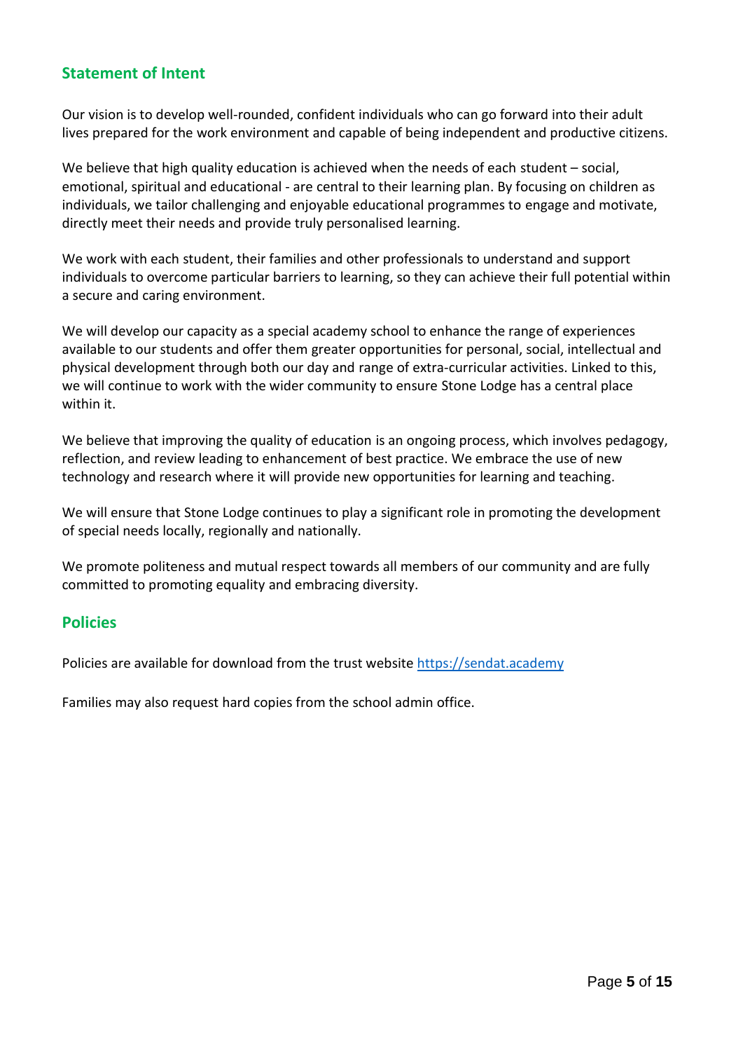### <span id="page-4-0"></span>**Statement of Intent**

Our vision is to develop well-rounded, confident individuals who can go forward into their adult lives prepared for the work environment and capable of being independent and productive citizens.

We believe that high quality education is achieved when the needs of each student – social, emotional, spiritual and educational - are central to their learning plan. By focusing on children as individuals, we tailor challenging and enjoyable educational programmes to engage and motivate, directly meet their needs and provide truly personalised learning.

We work with each student, their families and other professionals to understand and support individuals to overcome particular barriers to learning, so they can achieve their full potential within a secure and caring environment.

We will develop our capacity as a special academy school to enhance the range of experiences available to our students and offer them greater opportunities for personal, social, intellectual and physical development through both our day and range of extra-curricular activities. Linked to this, we will continue to work with the wider community to ensure Stone Lodge has a central place within it.

We believe that improving the quality of education is an ongoing process, which involves pedagogy, reflection, and review leading to enhancement of best practice. We embrace the use of new technology and research where it will provide new opportunities for learning and teaching.

We will ensure that Stone Lodge continues to play a significant role in promoting the development of special needs locally, regionally and nationally.

We promote politeness and mutual respect towards all members of our community and are fully committed to promoting equality and embracing diversity.

### <span id="page-4-1"></span>**Policies**

Policies are available for download from the trust website [https://sendat.academy](https://sendat.academy/)

Families may also request hard copies from the school admin office.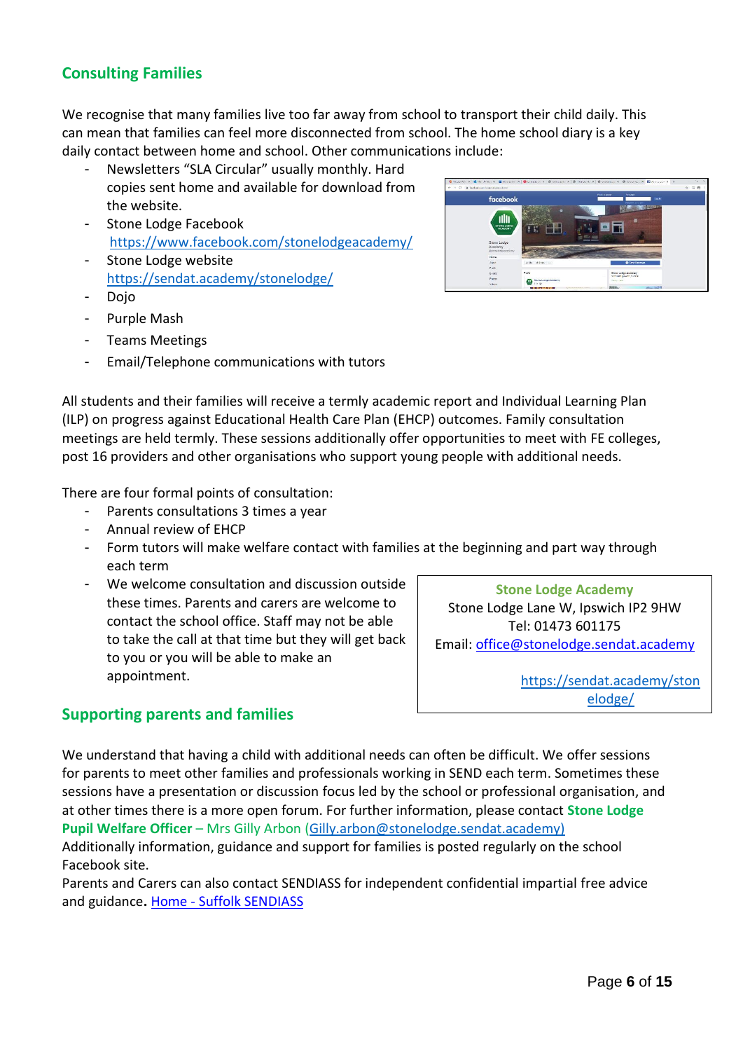# <span id="page-5-0"></span>**Consulting Families**

We recognise that many families live too far away from school to transport their child daily. This can mean that families can feel more disconnected from school. The home school diary is a key daily contact between home and school. Other communications include:

- Newsletters "SLA Circular" usually monthly. Hard copies sent home and available for download from the website.
- Stone Lodge Facebook <https://www.facebook.com/stonelodgeacademy/>
- Stone Lodge website <https://sendat.academy/stonelodge/>
- Dojo
- Purple Mash
- Teams Meetings
- Email/Telephone communications with tutors



All students and their families will receive a termly academic report and Individual Learning Plan (ILP) on progress against Educational Health Care Plan (EHCP) outcomes. Family consultation meetings are held termly. These sessions additionally offer opportunities to meet with FE colleges, post 16 providers and other organisations who support young people with additional needs.

There are four formal points of consultation:

- Parents consultations 3 times a year
- Annual review of EHCP
- Form tutors will make welfare contact with families at the beginning and part way through each term
- We welcome consultation and discussion outside these times. Parents and carers are welcome to contact the school office. Staff may not be able to take the call at that time but they will get back to you or you will be able to make an appointment.

**Stone Lodge Academy** Stone Lodge Lane W, Ipswich IP2 9HW Tel: 01473 601175 Email: [office@s](mailto:office@priory.suffolk.sch.uk)tonelodge.sendat.academy

> [https://sendat.academy/ston](https://sendat.academy/stonelodge/) [elodge/](https://sendat.academy/stonelodge/)

### <span id="page-5-1"></span>**Supporting parents and families**

We understand that having a child with additional needs can often be difficult. We offer sessions for parents to meet other families and professionals working in SEND each term. Sometimes these sessions have a presentation or discussion focus led by the school or professional organisation, and at other times there is a more open forum. For further information, please contact **Stone Lodge Pupil Welfare Officer** – Mrs Gilly Arbon [\(Gilly.arbon@stonelodge.sendat.academy\)](mailto:Gilly.arbon@stonelodge.sendat.academy)

Additionally information, guidance and support for families is posted regularly on the school Facebook site.

Parents and Carers can also contact SENDIASS for independent confidential impartial free advice and guidance**.** Home - [Suffolk SENDIASS](https://suffolksendiass.co.uk/)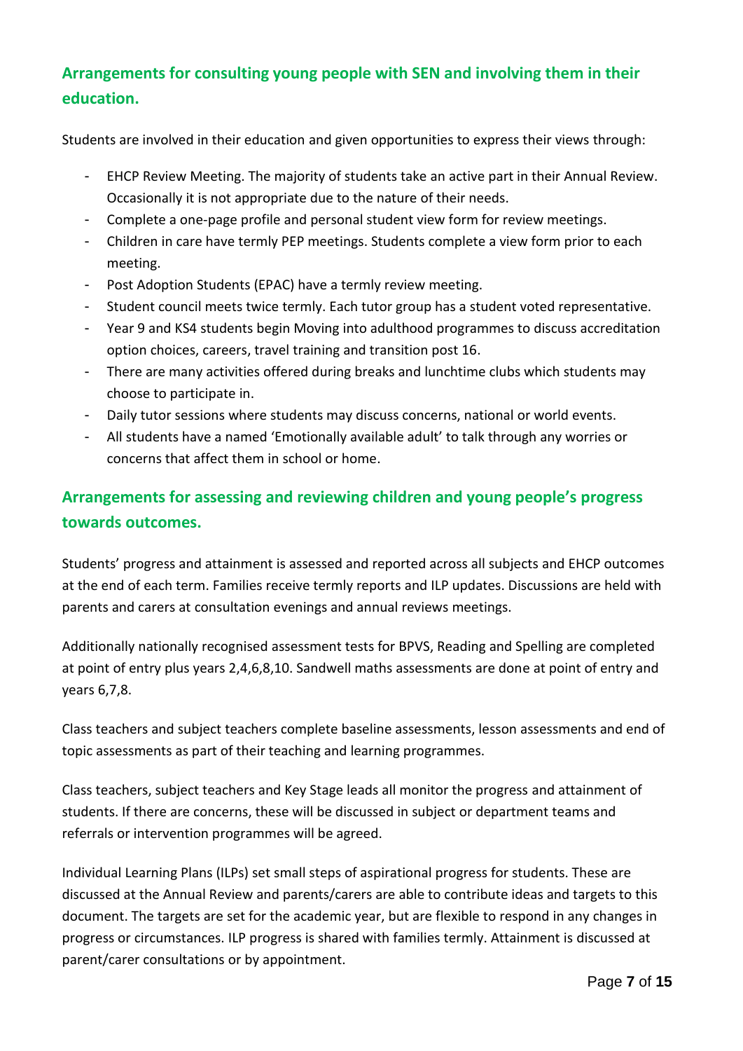# <span id="page-6-0"></span>**Arrangements for consulting young people with SEN and involving them in their education.**

Students are involved in their education and given opportunities to express their views through:

- EHCP Review Meeting. The majority of students take an active part in their Annual Review. Occasionally it is not appropriate due to the nature of their needs.
- Complete a one-page profile and personal student view form for review meetings.
- Children in care have termly PEP meetings. Students complete a view form prior to each meeting.
- Post Adoption Students (EPAC) have a termly review meeting.
- Student council meets twice termly. Each tutor group has a student voted representative.
- Year 9 and KS4 students begin Moving into adulthood programmes to discuss accreditation option choices, careers, travel training and transition post 16.
- There are many activities offered during breaks and lunchtime clubs which students may choose to participate in.
- Daily tutor sessions where students may discuss concerns, national or world events.
- All students have a named 'Emotionally available adult' to talk through any worries or concerns that affect them in school or home.

# <span id="page-6-1"></span>**Arrangements for assessing and reviewing children and young people's progress towards outcomes.**

Students' progress and attainment is assessed and reported across all subjects and EHCP outcomes at the end of each term. Families receive termly reports and ILP updates. Discussions are held with parents and carers at consultation evenings and annual reviews meetings.

Additionally nationally recognised assessment tests for BPVS, Reading and Spelling are completed at point of entry plus years 2,4,6,8,10. Sandwell maths assessments are done at point of entry and years 6,7,8.

Class teachers and subject teachers complete baseline assessments, lesson assessments and end of topic assessments as part of their teaching and learning programmes.

Class teachers, subject teachers and Key Stage leads all monitor the progress and attainment of students. If there are concerns, these will be discussed in subject or department teams and referrals or intervention programmes will be agreed.

Individual Learning Plans (ILPs) set small steps of aspirational progress for students. These are discussed at the Annual Review and parents/carers are able to contribute ideas and targets to this document. The targets are set for the academic year, but are flexible to respond in any changes in progress or circumstances. ILP progress is shared with families termly. Attainment is discussed at parent/carer consultations or by appointment.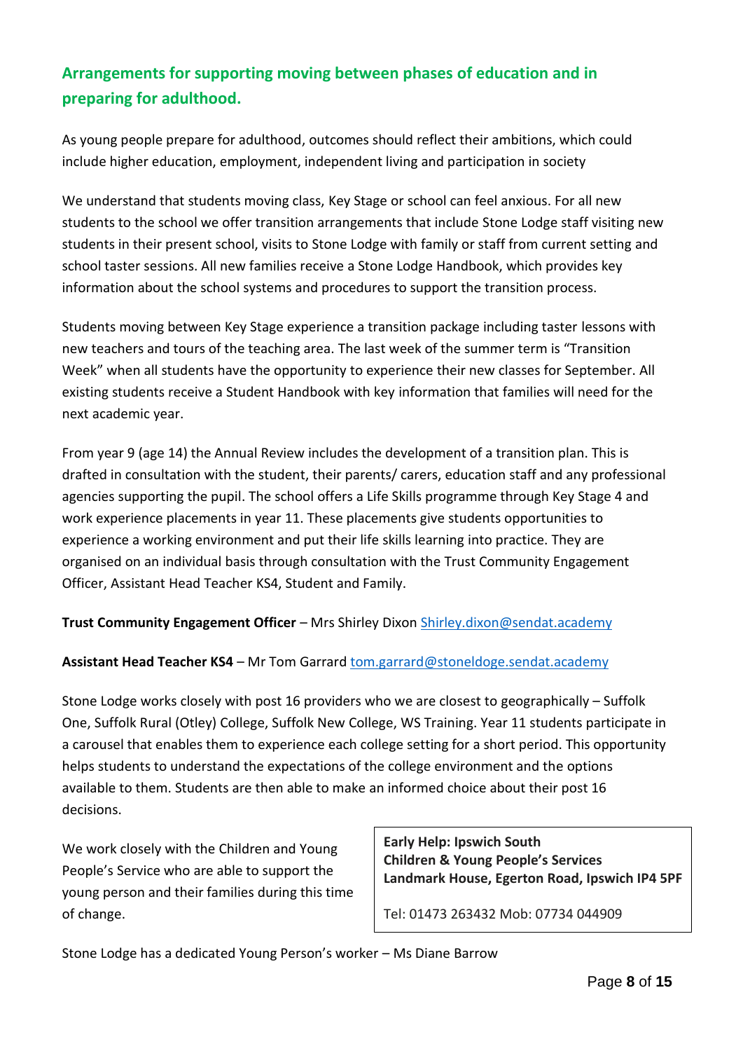# <span id="page-7-0"></span>**Arrangements for supporting moving between phases of education and in preparing for adulthood.**

As young people prepare for adulthood, outcomes should reflect their ambitions, which could include higher education, employment, independent living and participation in society

We understand that students moving class, Key Stage or school can feel anxious. For all new students to the school we offer transition arrangements that include Stone Lodge staff visiting new students in their present school, visits to Stone Lodge with family or staff from current setting and school taster sessions. All new families receive a Stone Lodge Handbook, which provides key information about the school systems and procedures to support the transition process.

Students moving between Key Stage experience a transition package including taster lessons with new teachers and tours of the teaching area. The last week of the summer term is "Transition Week" when all students have the opportunity to experience their new classes for September. All existing students receive a Student Handbook with key information that families will need for the next academic year.

From year 9 (age 14) the Annual Review includes the development of a transition plan. This is drafted in consultation with the student, their parents/ carers, education staff and any professional agencies supporting the pupil. The school offers a Life Skills programme through Key Stage 4 and work experience placements in year 11. These placements give students opportunities to experience a working environment and put their life skills learning into practice. They are organised on an individual basis through consultation with the Trust Community Engagement Officer, Assistant Head Teacher KS4, Student and Family.

**Trust Community Engagement Officer** – Mrs Shirley Dixon [Shirley.dixon@sendat.academy](mailto:Shirley.dixon@sendat.academy)

#### **Assistant Head Teacher KS4** – Mr Tom Garrar[d tom.garrard@stoneldoge.sendat.academy](mailto:tom.garrard@stoneldoge.sendat.academy)

Stone Lodge works closely with post 16 providers who we are closest to geographically – Suffolk One, Suffolk Rural (Otley) College, Suffolk New College, WS Training. Year 11 students participate in a carousel that enables them to experience each college setting for a short period. This opportunity helps students to understand the expectations of the college environment and the options available to them. Students are then able to make an informed choice about their post 16 decisions.

We work closely with the Children and Young People's Service who are able to support the young person and their families during this time of change.

**Early Help: Ipswich South Children & Young People's Services Landmark House, Egerton Road, Ipswich IP4 5PF**

Tel: 01473 263432 Mob: 07734 044909

Stone Lodge has a dedicated Young Person's worker – Ms Diane Barrow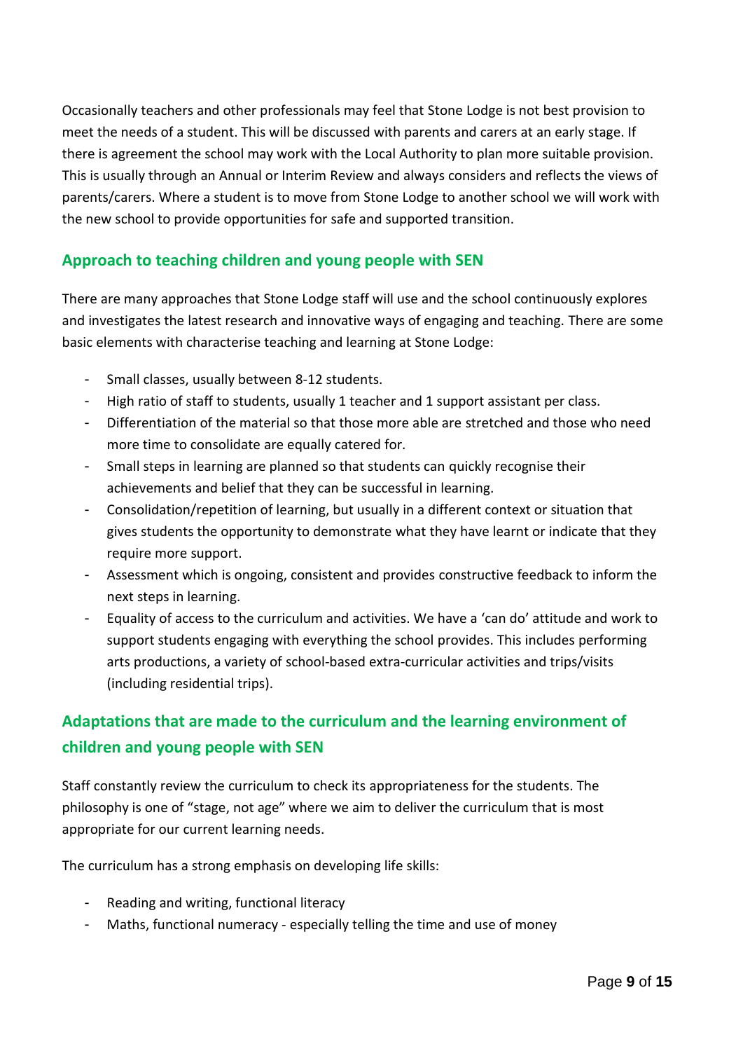Occasionally teachers and other professionals may feel that Stone Lodge is not best provision to meet the needs of a student. This will be discussed with parents and carers at an early stage. If there is agreement the school may work with the Local Authority to plan more suitable provision. This is usually through an Annual or Interim Review and always considers and reflects the views of parents/carers. Where a student is to move from Stone Lodge to another school we will work with the new school to provide opportunities for safe and supported transition.

### <span id="page-8-0"></span>**Approach to teaching children and young people with SEN**

There are many approaches that Stone Lodge staff will use and the school continuously explores and investigates the latest research and innovative ways of engaging and teaching. There are some basic elements with characterise teaching and learning at Stone Lodge:

- Small classes, usually between 8-12 students.
- High ratio of staff to students, usually 1 teacher and 1 support assistant per class.
- Differentiation of the material so that those more able are stretched and those who need more time to consolidate are equally catered for.
- Small steps in learning are planned so that students can quickly recognise their achievements and belief that they can be successful in learning.
- Consolidation/repetition of learning, but usually in a different context or situation that gives students the opportunity to demonstrate what they have learnt or indicate that they require more support.
- Assessment which is ongoing, consistent and provides constructive feedback to inform the next steps in learning.
- Equality of access to the curriculum and activities. We have a 'can do' attitude and work to support students engaging with everything the school provides. This includes performing arts productions, a variety of school-based extra-curricular activities and trips/visits (including residential trips).

# <span id="page-8-1"></span>**Adaptations that are made to the curriculum and the learning environment of children and young people with SEN**

Staff constantly review the curriculum to check its appropriateness for the students. The philosophy is one of "stage, not age" where we aim to deliver the curriculum that is most appropriate for our current learning needs.

The curriculum has a strong emphasis on developing life skills:

- Reading and writing, functional literacy
- Maths, functional numeracy especially telling the time and use of money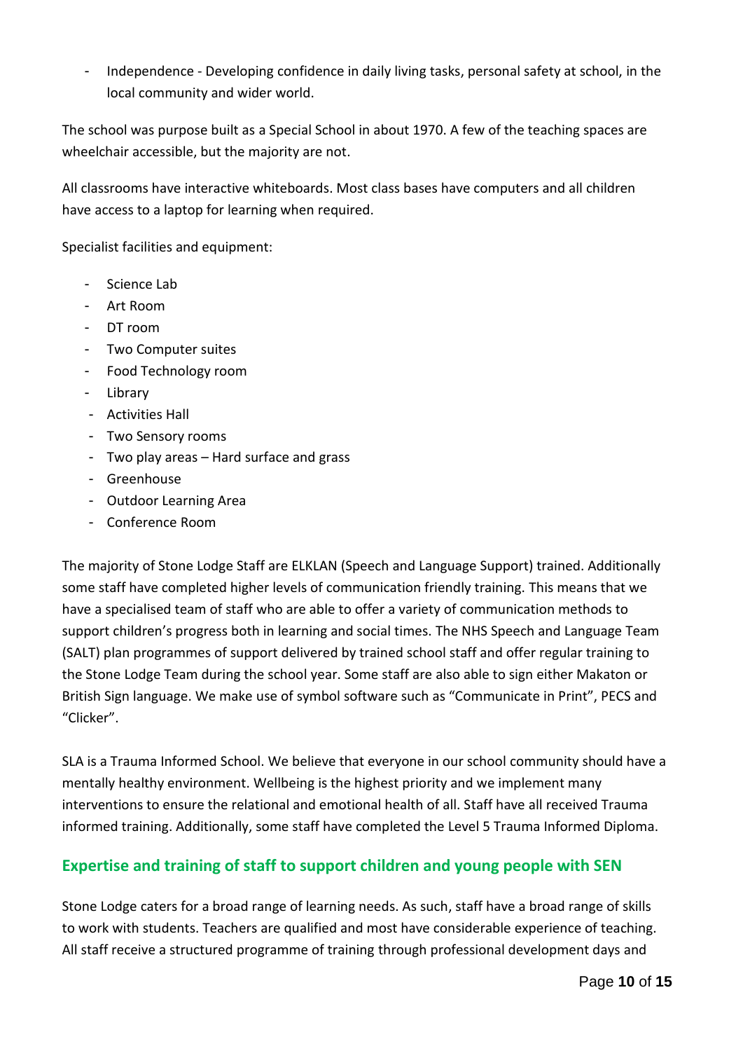- Independence - Developing confidence in daily living tasks, personal safety at school, in the local community and wider world.

The school was purpose built as a Special School in about 1970. A few of the teaching spaces are wheelchair accessible, but the majority are not.

All classrooms have interactive whiteboards. Most class bases have computers and all children have access to a laptop for learning when required.

Specialist facilities and equipment:

- Science Lab
- Art Room
- DT room
- Two Computer suites
- Food Technology room
- Library
- Activities Hall
- Two Sensory rooms
- Two play areas Hard surface and grass
- Greenhouse
- Outdoor Learning Area
- Conference Room

The majority of Stone Lodge Staff are ELKLAN (Speech and Language Support) trained. Additionally some staff have completed higher levels of communication friendly training. This means that we have a specialised team of staff who are able to offer a variety of communication methods to support children's progress both in learning and social times. The NHS Speech and Language Team (SALT) plan programmes of support delivered by trained school staff and offer regular training to the Stone Lodge Team during the school year. Some staff are also able to sign either Makaton or British Sign language. We make use of symbol software such as "Communicate in Print", PECS and "Clicker".

SLA is a Trauma Informed School. We believe that everyone in our school community should have a mentally healthy environment. Wellbeing is the highest priority and we implement many interventions to ensure the relational and emotional health of all. Staff have all received Trauma informed training. Additionally, some staff have completed the Level 5 Trauma Informed Diploma.

## <span id="page-9-0"></span>**Expertise and training of staff to support children and young people with SEN**

Stone Lodge caters for a broad range of learning needs. As such, staff have a broad range of skills to work with students. Teachers are qualified and most have considerable experience of teaching. All staff receive a structured programme of training through professional development days and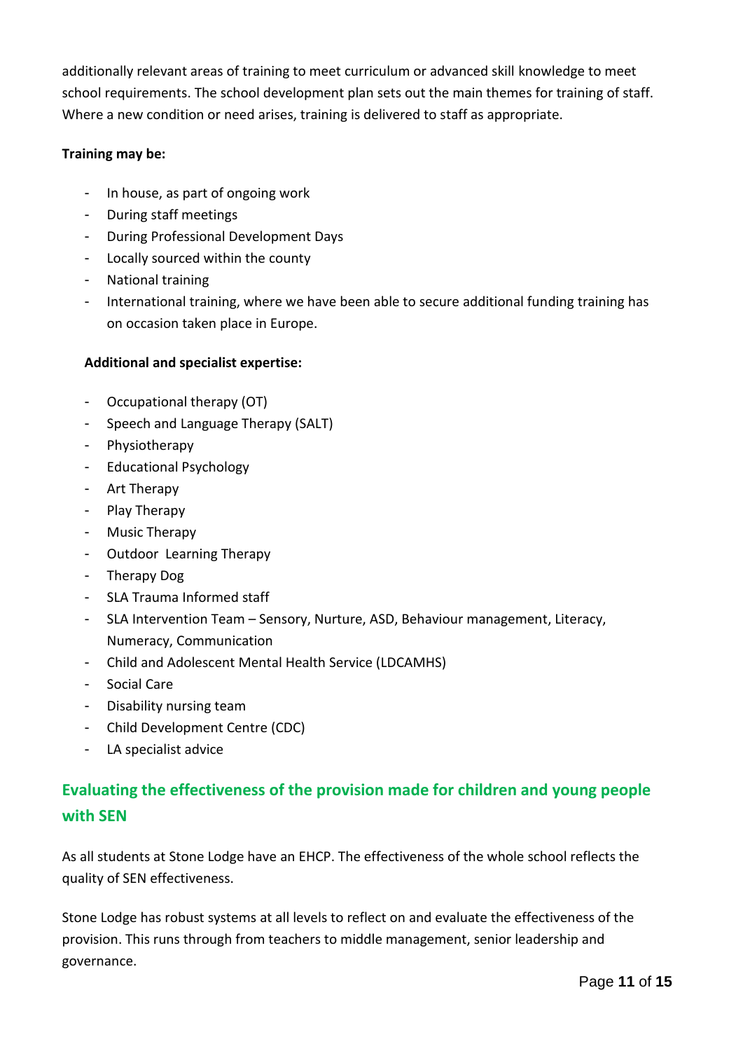additionally relevant areas of training to meet curriculum or advanced skill knowledge to meet school requirements. The school development plan sets out the main themes for training of staff. Where a new condition or need arises, training is delivered to staff as appropriate.

#### **Training may be:**

- In house, as part of ongoing work
- During staff meetings
- During Professional Development Days
- Locally sourced within the county
- National training
- International training, where we have been able to secure additional funding training has on occasion taken place in Europe.

#### **Additional and specialist expertise:**

- Occupational therapy (OT)
- Speech and Language Therapy (SALT)
- Physiotherapy
- Educational Psychology
- Art Therapy
- Play Therapy
- Music Therapy
- Outdoor Learning Therapy
- Therapy Dog
- SLA Trauma Informed staff
- SLA Intervention Team Sensory, Nurture, ASD, Behaviour management, Literacy, Numeracy, Communication
- Child and Adolescent Mental Health Service (LDCAMHS)
- Social Care
- Disability nursing team
- Child Development Centre (CDC)
- LA specialist advice

# <span id="page-10-0"></span>**Evaluating the effectiveness of the provision made for children and young people with SEN**

As all students at Stone Lodge have an EHCP. The effectiveness of the whole school reflects the quality of SEN effectiveness.

Stone Lodge has robust systems at all levels to reflect on and evaluate the effectiveness of the provision. This runs through from teachers to middle management, senior leadership and governance.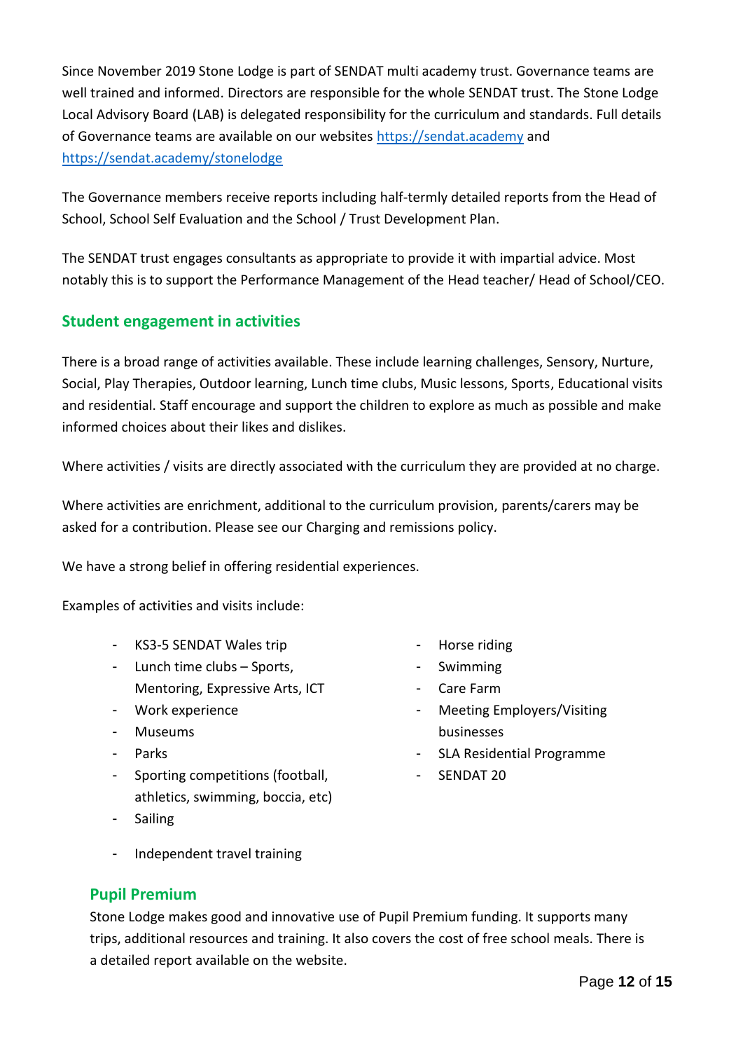Since November 2019 Stone Lodge is part of SENDAT multi academy trust. Governance teams are well trained and informed. Directors are responsible for the whole SENDAT trust. The Stone Lodge Local Advisory Board (LAB) is delegated responsibility for the curriculum and standards. Full details of Governance teams are available on our websites [https://sendat.academy](https://sendat.academy/) and <https://sendat.academy/stonelodge>

The Governance members receive reports including half-termly detailed reports from the Head of School, School Self Evaluation and the School / Trust Development Plan.

The SENDAT trust engages consultants as appropriate to provide it with impartial advice. Most notably this is to support the Performance Management of the Head teacher/ Head of School/CEO.

## <span id="page-11-0"></span>**Student engagement in activities**

There is a broad range of activities available. These include learning challenges, Sensory, Nurture, Social, Play Therapies, Outdoor learning, Lunch time clubs, Music lessons, Sports, Educational visits and residential. Staff encourage and support the children to explore as much as possible and make informed choices about their likes and dislikes.

Where activities / visits are directly associated with the curriculum they are provided at no charge.

Where activities are enrichment, additional to the curriculum provision, parents/carers may be asked for a contribution. Please see our Charging and remissions policy.

We have a strong belief in offering residential experiences.

Examples of activities and visits include:

- KS3-5 SENDAT Wales trip
- Lunch time clubs Sports, Mentoring, Expressive Arts, ICT
- Work experience
- Museums
- Parks
- Sporting competitions (football, athletics, swimming, boccia, etc)
- Sailing
- Horse riding
- Swimming
- Care Farm
- Meeting Employers/Visiting businesses
- SLA Residential Programme
- SENDAT 20

- Independent travel training

## <span id="page-11-1"></span>**Pupil Premium**

Stone Lodge makes good and innovative use of Pupil Premium funding. It supports many trips, additional resources and training. It also covers the cost of free school meals. There is a detailed report available on the website.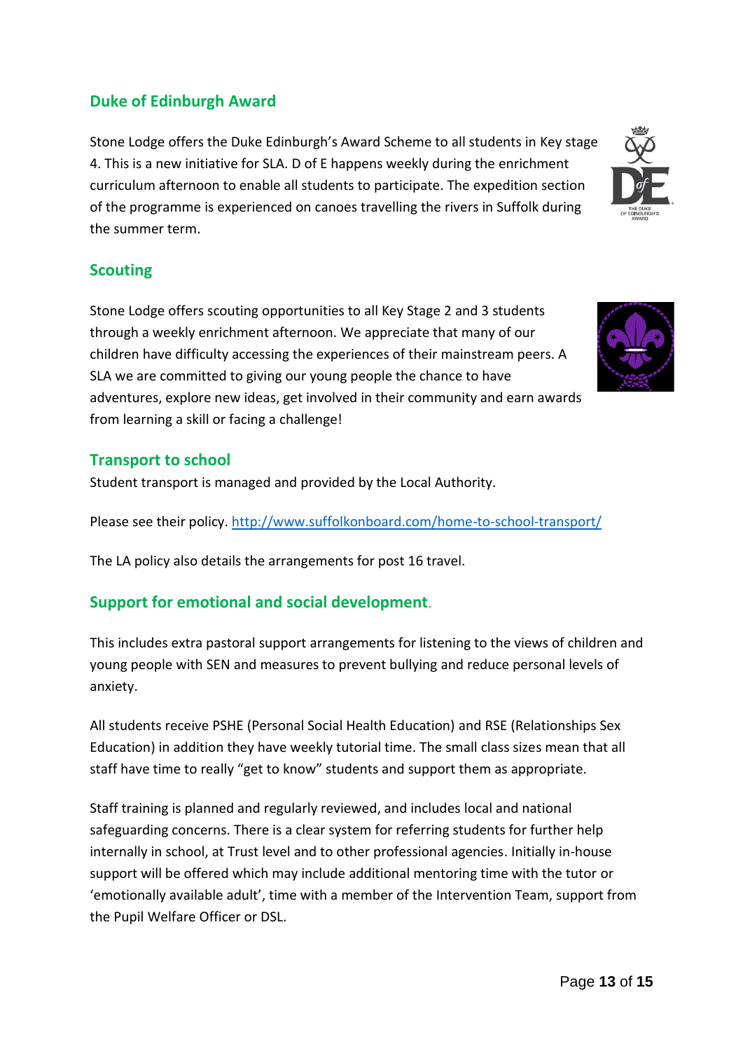# <span id="page-12-0"></span>**Duke of Edinburgh Award**

Stone Lodge offers the Duke Edinburgh's Award Scheme to all students in Key stage 4. This is a new initiative for SLA. D of E happens weekly during the enrichment curriculum afternoon to enable all students to participate. The expedition section of the programme is experienced on canoes travelling the rivers in Suffolk during the summer term.

### **Scouting**

Stone Lodge offers scouting opportunities to all Key Stage 2 and 3 students through a weekly enrichment afternoon. We appreciate that many of our children have difficulty accessing the experiences of their mainstream peers. A SLA we are committed to giving our young people the chance to have adventures, explore new ideas, get involved in their community and earn awards from learning a skill or facing a challenge!



### <span id="page-12-1"></span>**Transport to school**

Student transport is managed and provided by the Local Authority.

Please see their policy[. http://www.suffolkonboard.com/home-to-school-transport/](http://www.suffolkonboard.com/home-to-school-transport/) 

The LA policy also details the arrangements for post 16 travel.

## <span id="page-12-2"></span>**Support for emotional and social development**.

This includes extra pastoral support arrangements for listening to the views of children and young people with SEN and measures to prevent bullying and reduce personal levels of anxiety.

All students receive PSHE (Personal Social Health Education) and RSE (Relationships Sex Education) in addition they have weekly tutorial time. The small class sizes mean that all staff have time to really "get to know" students and support them as appropriate.

Staff training is planned and regularly reviewed, and includes local and national safeguarding concerns. There is a clear system for referring students for further help internally in school, at Trust level and to other professional agencies. Initially in-house support will be offered which may include additional mentoring time with the tutor or 'emotionally available adult', time with a member of the Intervention Team, support from the Pupil Welfare Officer or DSL.

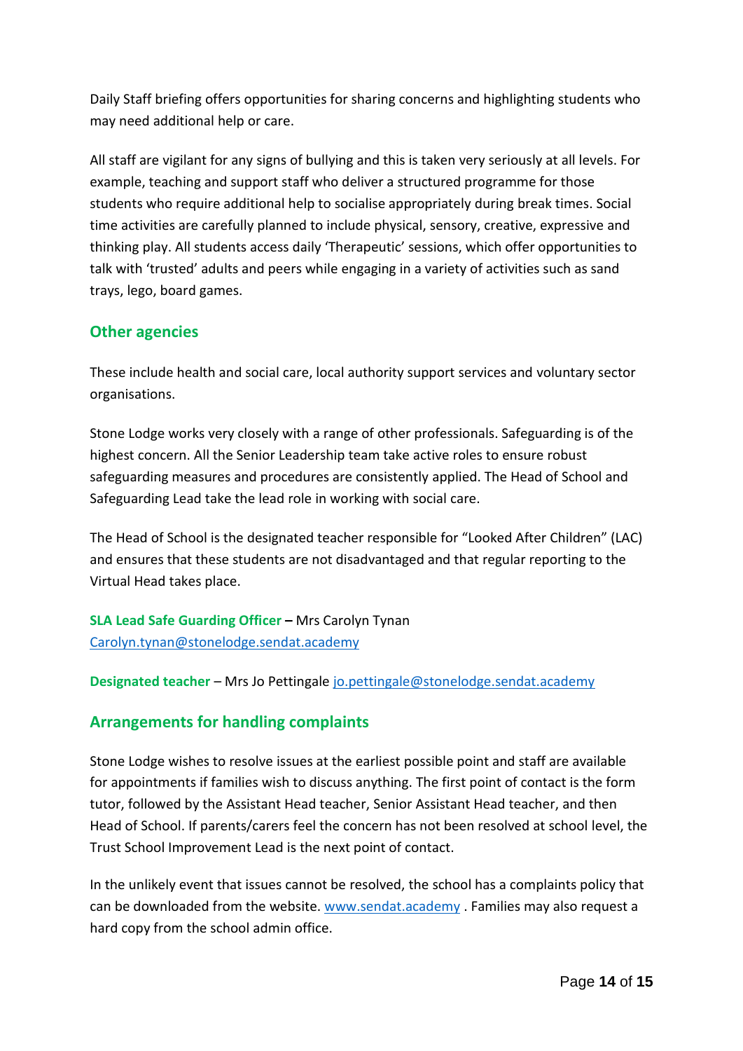Daily Staff briefing offers opportunities for sharing concerns and highlighting students who may need additional help or care.

All staff are vigilant for any signs of bullying and this is taken very seriously at all levels. For example, teaching and support staff who deliver a structured programme for those students who require additional help to socialise appropriately during break times. Social time activities are carefully planned to include physical, sensory, creative, expressive and thinking play. All students access daily 'Therapeutic' sessions, which offer opportunities to talk with 'trusted' adults and peers while engaging in a variety of activities such as sand trays, lego, board games.

## <span id="page-13-0"></span>**Other agencies**

These include health and social care, local authority support services and voluntary sector organisations.

Stone Lodge works very closely with a range of other professionals. Safeguarding is of the highest concern. All the Senior Leadership team take active roles to ensure robust safeguarding measures and procedures are consistently applied. The Head of School and Safeguarding Lead take the lead role in working with social care.

The Head of School is the designated teacher responsible for "Looked After Children" (LAC) and ensures that these students are not disadvantaged and that regular reporting to the Virtual Head takes place.

**SLA Lead Safe Guarding Officer –** Mrs Carolyn Tynan [Carolyn.tynan@stonelodge.sendat.academy](mailto:Carolyn.tynan@stonelodge.sendat.academy)

**Designated teacher** – Mrs Jo Pettingale [jo.pettingale@stonelodge.sendat.academy](mailto:jo.pettingale@stonelodge.sendat.academy)

## <span id="page-13-1"></span>**Arrangements for handling complaints**

Stone Lodge wishes to resolve issues at the earliest possible point and staff are available for appointments if families wish to discuss anything. The first point of contact is the form tutor, followed by the Assistant Head teacher, Senior Assistant Head teacher, and then Head of School. If parents/carers feel the concern has not been resolved at school level, the Trust School Improvement Lead is the next point of contact.

In the unlikely event that issues cannot be resolved, the school has a complaints policy that can be downloaded from the website. [www.sendat.academy](http://www.sendat.academy/) . Families may also request a hard copy from the school admin office.